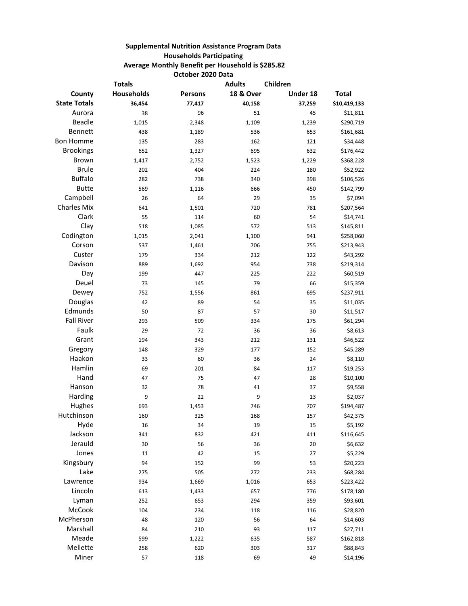## **Supplemental Nutrition Assistance Program Data Households Participating Average Monthly Benefit per Household is \$285.82 October 2020 Data**

| <b>Totals</b>       |            |                | <b>Adults</b>        | Children |              |
|---------------------|------------|----------------|----------------------|----------|--------------|
| County              | Households | <b>Persons</b> | <b>18 &amp; Over</b> | Under 18 | <b>Total</b> |
| <b>State Totals</b> | 36,454     | 77,417         | 40,158               | 37,259   | \$10,419,133 |
| Aurora              | 38         | 96             | 51                   | 45       | \$11,811     |
| Beadle              | 1,015      | 2,348          | 1,109                | 1,239    | \$290,719    |
| Bennett             | 438        | 1,189          | 536                  | 653      | \$161,681    |
| <b>Bon Homme</b>    | 135        | 283            | 162                  | 121      | \$34,448     |
| <b>Brookings</b>    | 652        | 1,327          | 695                  | 632      | \$176,442    |
| Brown               | 1,417      | 2,752          | 1,523                | 1,229    | \$368,228    |
| <b>Brule</b>        | 202        | 404            | 224                  | 180      | \$52,922     |
| <b>Buffalo</b>      | 282        | 738            | 340                  | 398      | \$106,526    |
| <b>Butte</b>        | 569        | 1,116          | 666                  | 450      | \$142,799    |
| Campbell            | 26         | 64             | 29                   | 35       | \$7,094      |
| <b>Charles Mix</b>  | 641        | 1,501          | 720                  | 781      | \$207,564    |
| Clark               | 55         | 114            | 60                   | 54       | \$14,741     |
| Clay                | 518        | 1,085          | 572                  | 513      | \$145,811    |
| Codington           | 1,015      | 2,041          | 1,100                | 941      | \$258,060    |
| Corson              | 537        | 1,461          | 706                  | 755      | \$213,943    |
| Custer              | 179        | 334            | 212                  | 122      | \$43,292     |
| Davison             | 889        | 1,692          | 954                  | 738      | \$219,314    |
| Day                 | 199        | 447            | 225                  | 222      | \$60,519     |
| Deuel               | 73         | 145            | 79                   | 66       | \$15,359     |
| Dewey               | 752        | 1,556          | 861                  | 695      | \$237,911    |
| Douglas             | 42         | 89             | 54                   | 35       | \$11,035     |
| Edmunds             | 50         | 87             | 57                   | 30       | \$11,517     |
| <b>Fall River</b>   | 293        | 509            | 334                  | 175      | \$61,294     |
| Faulk               | 29         | 72             | 36                   | 36       | \$8,613      |
| Grant               | 194        | 343            | 212                  | 131      | \$46,522     |
| Gregory             | 148        | 329            | 177                  | 152      | \$45,289     |
| Haakon              | 33         | 60             | 36                   | 24       | \$8,110      |
| Hamlin              | 69         | 201            | 84                   | 117      | \$19,253     |
| Hand                | 47         | 75             | 47                   | 28       | \$10,100     |
| Hanson              | 32         | 78             | 41                   | 37       | \$9,558      |
| Harding             | 9          | 22             | 9                    | 13       | \$2,037      |
| Hughes              | 693        | 1,453          | 746                  | 707      | \$194,487    |
| Hutchinson          | 160        | 325            | 168                  | 157      | \$42,375     |
| Hyde                | 16         | 34             | 19                   | 15       | \$5,192      |
| Jackson             | 341        | 832            | 421                  | 411      | \$116,645    |
| Jerauld             | 30         | 56             | 36                   | 20       | \$6,632      |
| Jones               | 11         | 42             | 15                   | 27       | \$5,229      |
| Kingsbury           | 94         | 152            | 99                   | 53       | \$20,223     |
| Lake                | 275        | 505            | 272                  | 233      | \$68,284     |
| Lawrence            | 934        | 1,669          | 1,016                | 653      | \$223,422    |
| Lincoln             | 613        | 1,433          | 657                  | 776      | \$178,180    |
| Lyman               | 252        | 653            | 294                  | 359      | \$93,601     |
| McCook              | 104        | 234            | 118                  | 116      | \$28,820     |
| McPherson           | 48         | 120            | 56                   | 64       | \$14,603     |
| Marshall            | 84         | 210            | 93                   | 117      | \$27,711     |
| Meade               | 599        | 1,222          | 635                  | 587      | \$162,818    |
| Mellette            | 258        | 620            | 303                  | 317      | \$88,843     |
| Miner               | 57         | 118            | 69                   | 49       | \$14,196     |
|                     |            |                |                      |          |              |